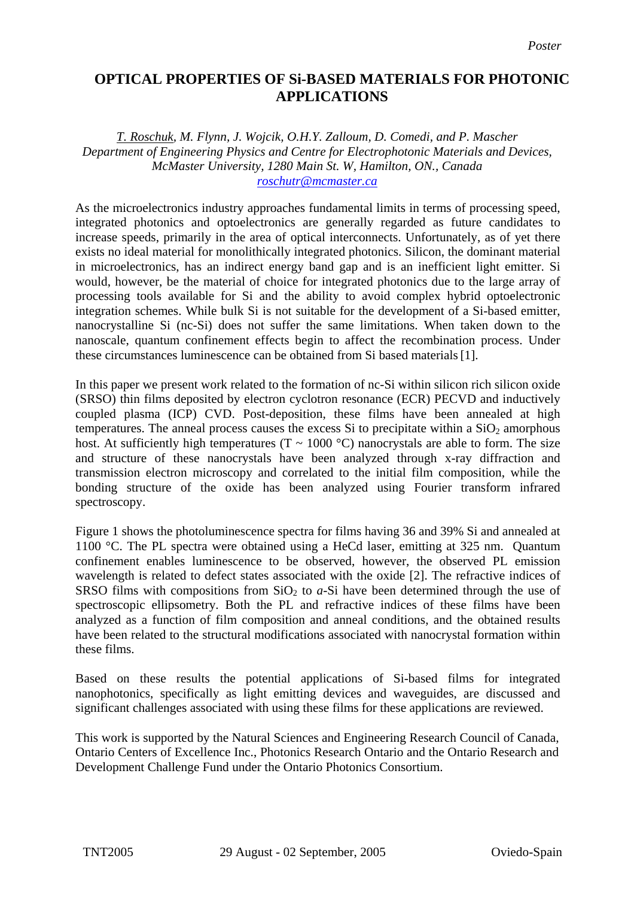## **OPTICAL PROPERTIES OF Si-BASED MATERIALS FOR PHOTONIC APPLICATIONS**

*T. Roschuk, M. Flynn, J. Wojcik, O.H.Y. Zalloum, D. Comedi, and P. Mascher Department of Engineering Physics and Centre for Electrophotonic Materials and Devices, McMaster University, 1280 Main St. W, Hamilton, ON., Canada [roschutr@mcmaster.ca](mailto:Contact@E-mail)*

As the microelectronics industry approaches fundamental limits in terms of processing speed, integrated photonics and optoelectronics are generally regarded as future candidates to increase speeds, primarily in the area of optical interconnects. Unfortunately, as of yet there exists no ideal material for monolithically integrated photonics. Silicon, the dominant material in microelectronics, has an indirect energy band gap and is an inefficient light emitter. Si would, however, be the material of choice for integrated photonics due to the large array of processing tools available for Si and the ability to avoid complex hybrid optoelectronic integration schemes. While bulk Si is not suitable for the development of a Si-based emitter, nanocrystalline Si (nc-Si) does not suffer the same limitations. When taken down to the nanoscale, quantum confinement effects begin to affect the recombination process. Under these circumstances luminescence can be obtained from Si based materials[1].

In this paper we present work related to the formation of nc-Si within silicon rich silicon oxide (SRSO) thin films deposited by electron cyclotron resonance (ECR) PECVD and inductively coupled plasma (ICP) CVD. Post-deposition, these films have been annealed at high temperatures. The anneal process causes the excess Si to precipitate within a  $SiO<sub>2</sub>$  amorphous host. At sufficiently high temperatures (T  $\sim$  1000 °C) nanocrystals are able to form. The size and structure of these nanocrystals have been analyzed through x-ray diffraction and transmission electron microscopy and correlated to the initial film composition, while the bonding structure of the oxide has been analyzed using Fourier transform infrared spectroscopy.

Figure 1 shows the photoluminescence spectra for films having 36 and 39% Si and annealed at 1100 °C. The PL spectra were obtained using a HeCd laser, emitting at 325 nm. Quantum confinement enables luminescence to be observed, however, the observed PL emission wavelength is related to defect states associated with the oxide [2]. The refractive indices of SRSO films with compositions from  $SiO<sub>2</sub>$  to *a*-Si have been determined through the use of spectroscopic ellipsometry. Both the PL and refractive indices of these films have been analyzed as a function of film composition and anneal conditions, and the obtained results have been related to the structural modifications associated with nanocrystal formation within these films.

Based on these results the potential applications of Si-based films for integrated nanophotonics, specifically as light emitting devices and waveguides, are discussed and significant challenges associated with using these films for these applications are reviewed.

This work is supported by the Natural Sciences and Engineering Research Council of Canada, Ontario Centers of Excellence Inc., Photonics Research Ontario and the Ontario Research and Development Challenge Fund under the Ontario Photonics Consortium.